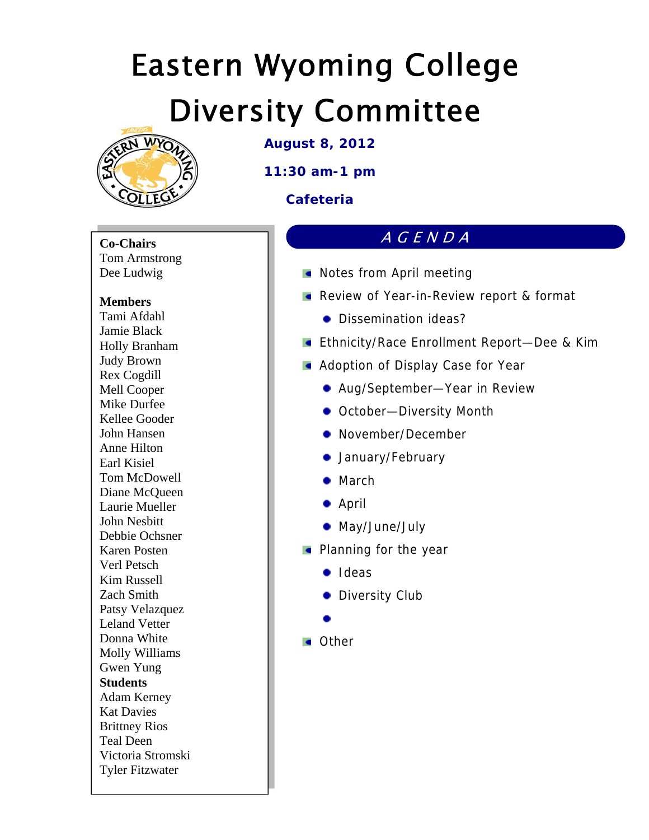

**August 8, 2012** 

**11:30 am-1 pm** 

### **Cafeteria**

**Co-Chairs**  Tom Armstrong Dee Ludwig

#### **Members**

Tami Afdahl Jamie Black Holly Branham Judy Brown Rex Cogdill Mell Cooper Mike Durfee Kellee Gooder John Hansen Anne Hilton Earl Kisiel Tom McDowell Diane McQueen Laurie Mueller John Nesbitt Debbie Ochsner Karen Posten Verl Petsch Kim Russell Zach Smith Patsy Velazquez Leland Vetter Donna White Molly Williams Gwen Yung **Students**  Adam Kerney Kat Davies Brittney Rios Teal Deen Victoria Stromski Tyler Fitzwater

- **Notes from April meeting**
- **Review of Year-in-Review report & format**

AGENDA

- Dissemination ideas?
- **Ethnicity/Race Enrollment Report-Dee & Kim**
- **Adoption of Display Case for Year** 
	- Aug/September—Year in Review
	- October-Diversity Month
	- November/December
	- **•** January/February
	- March
	- April
	- May/June/July
- **Planning for the year** 
	- **•** Ideas
	- **•** Diversity Club
	-

**Cother**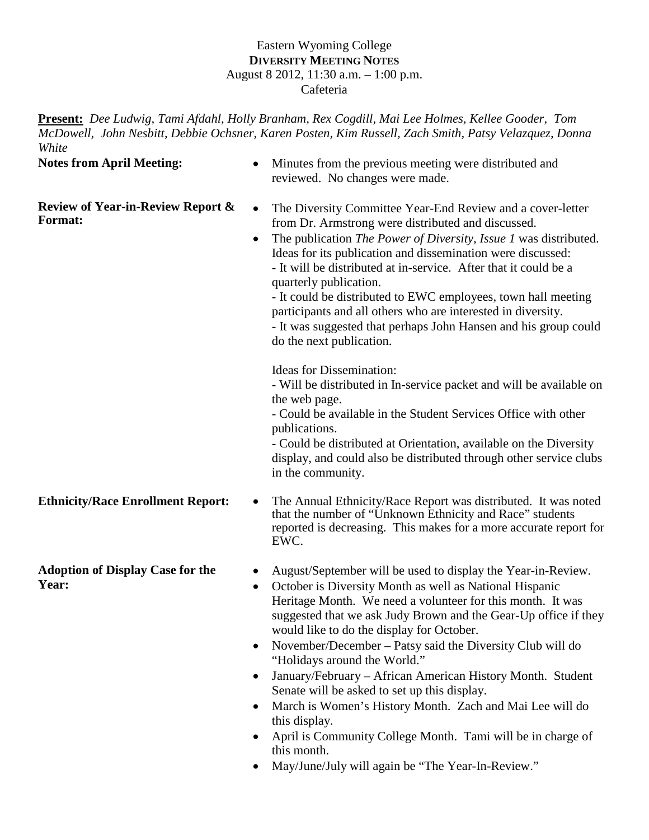#### Eastern Wyoming College **DIVERSITY MEETING NOTES** August 8 2012, 11:30 a.m. – 1:00 p.m. Cafeteria

**Present:** *Dee Ludwig, Tami Afdahl, Holly Branham, Rex Cogdill, Mai Lee Holmes, Kellee Gooder, Tom McDowell, John Nesbitt, Debbie Ochsner, Karen Posten, Kim Russell, Zach Smith, Patsy Velazquez, Donna White*

**Notes from April Meeting:** • Minutes from the previous meeting were distributed and reviewed. No changes were made.

**Review of Year-in-Review Report &** 

- **Review of Year-in-Review Report & •** The Diversity Committee Year-End Review and a cover-letter **Format:** from Dr. Armstrong were distributed and discussed from Dr. Armstrong were distributed and discussed.
	- The publication *The Power of Diversity, Issue 1* was distributed. Ideas for its publication and dissemination were discussed: - It will be distributed at in-service. After that it could be a quarterly publication.

- It could be distributed to EWC employees, town hall meeting participants and all others who are interested in diversity. - It was suggested that perhaps John Hansen and his group could

do the next publication.

Ideas for Dissemination:

- Will be distributed in In-service packet and will be available on the web page.

- Could be available in the Student Services Office with other publications.

- Could be distributed at Orientation, available on the Diversity display, and could also be distributed through other service clubs in the community.

**Adoption of Display Case for the Year:**

- **Ethnicity/Race Enrollment Report:** The Annual Ethnicity/Race Report was distributed. It was noted that the number of "Unknown Ethnicity and Race" students reported is decreasing. This makes for a more accurate report for EWC.
	- August/September will be used to display the Year-in-Review.
	- October is Diversity Month as well as National Hispanic Heritage Month. We need a volunteer for this month. It was suggested that we ask Judy Brown and the Gear-Up office if they would like to do the display for October.
	- November/December Patsy said the Diversity Club will do "Holidays around the World."
	- January/February African American History Month. Student Senate will be asked to set up this display.
	- March is Women's History Month. Zach and Mai Lee will do this display.
	- April is Community College Month. Tami will be in charge of this month.
	- May/June/July will again be "The Year-In-Review."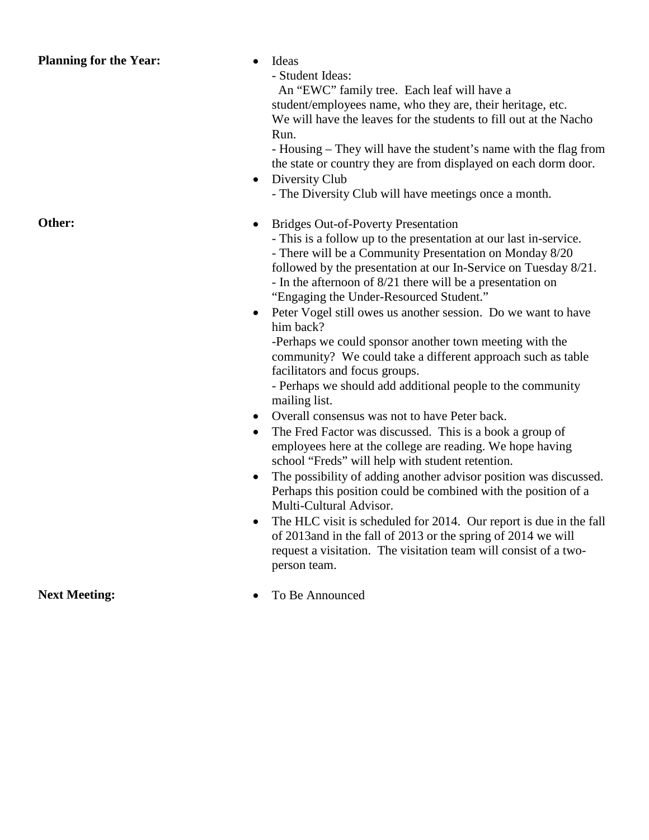#### **Planning for the Year:** • Ideas

- Student Ideas: An "EWC" family tree. Each leaf will have a student/employees name, who they are, their heritage, etc. We will have the leaves for the students to fill out at the Nacho Run.

- Housing – They will have the student's name with the flag from the state or country they are from displayed on each dorm door.

• Diversity Club - The Diversity Club will have meetings once a month.

**Other:** • Bridges Out-of-Poverty Presentation

- This is a follow up to the presentation at our last in-service. - There will be a Community Presentation on Monday 8/20

followed by the presentation at our In-Service on Tuesday 8/21.

- In the afternoon of 8/21 there will be a presentation on "Engaging the Under-Resourced Student."
- Peter Vogel still owes us another session. Do we want to have him back?

-Perhaps we could sponsor another town meeting with the community? We could take a different approach such as table facilitators and focus groups.

- Perhaps we should add additional people to the community mailing list.

- Overall consensus was not to have Peter back.
- The Fred Factor was discussed. This is a book a group of employees here at the college are reading. We hope having school "Freds" will help with student retention.
- The possibility of adding another advisor position was discussed. Perhaps this position could be combined with the position of a Multi-Cultural Advisor.
- The HLC visit is scheduled for 2014. Our report is due in the fall of 2013and in the fall of 2013 or the spring of 2014 we will request a visitation. The visitation team will consist of a twoperson team.

**Next Meeting:** • To Be Announced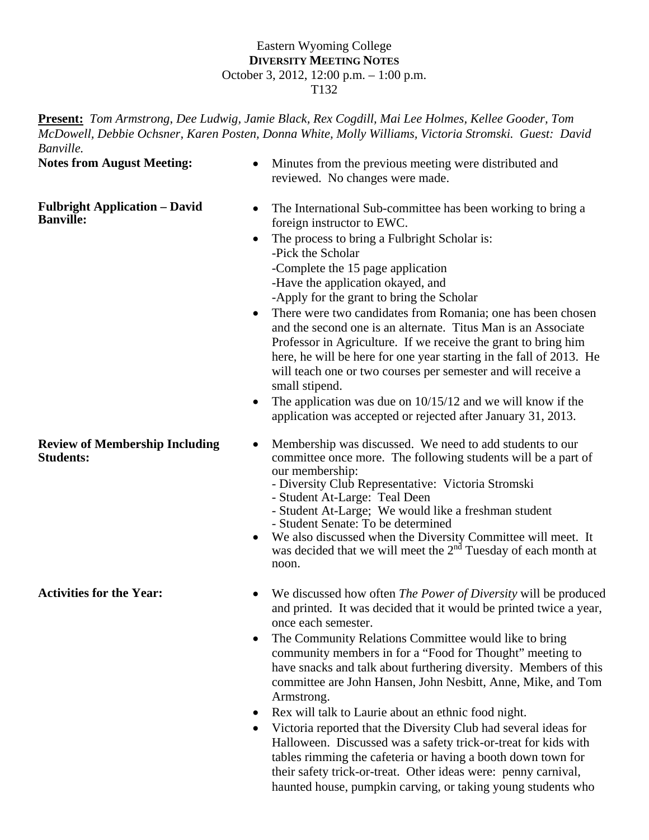#### Eastern Wyoming College **DIVERSITY MEETING NOTES** October 3, 2012, 12:00 p.m. – 1:00 p.m. T132

**Present:** *Tom Armstrong*, *Dee Ludwig, Jamie Black, Rex Cogdill, Mai Lee Holmes, Kellee Gooder, Tom McDowell, Debbie Ochsner, Karen Posten, Donna White, Molly Williams, Victoria Stromski. Guest: David Banville.* 

**Notes from August Meeting:** • Minutes from the previous meeting were distributed and reviewed. No changes were made. **Fulbright Application – David Fulbright Application – David** • The International Sub-committee has been working to bring a **Banville: Banville** foreign instructor to EWC. • The process to bring a Fulbright Scholar is: -Pick the Scholar -Complete the 15 page application -Have the application okayed, and -Apply for the grant to bring the Scholar • There were two candidates from Romania; one has been chosen and the second one is an alternate. Titus Man is an Associate Professor in Agriculture. If we receive the grant to bring him here, he will be here for one year starting in the fall of 2013. He will teach one or two courses per semester and will receive a small stipend. • The application was due on  $10/15/12$  and we will know if the application was accepted or rejected after January 31, 2013. **Review of Membership Including Students:** • Membership was discussed. We need to add students to our committee once more. The following students will be a part of our membership: - Diversity Club Representative: Victoria Stromski - Student At-Large: Teal Deen - Student At-Large; We would like a freshman student - Student Senate: To be determined We also discussed when the Diversity Committee will meet. It was decided that we will meet the 2<sup>nd</sup> Tuesday of each month at noon. Activities for the Year: • We discussed how often *The Power of Diversity* will be produced and printed. It was decided that it would be printed twice a year, once each semester. • The Community Relations Committee would like to bring community members in for a "Food for Thought" meeting to have snacks and talk about furthering diversity. Members of this committee are John Hansen, John Nesbitt, Anne, Mike, and Tom

Armstrong.

- Rex will talk to Laurie about an ethnic food night.
- Victoria reported that the Diversity Club had several ideas for Halloween. Discussed was a safety trick-or-treat for kids with tables rimming the cafeteria or having a booth down town for their safety trick-or-treat. Other ideas were: penny carnival, haunted house, pumpkin carving, or taking young students who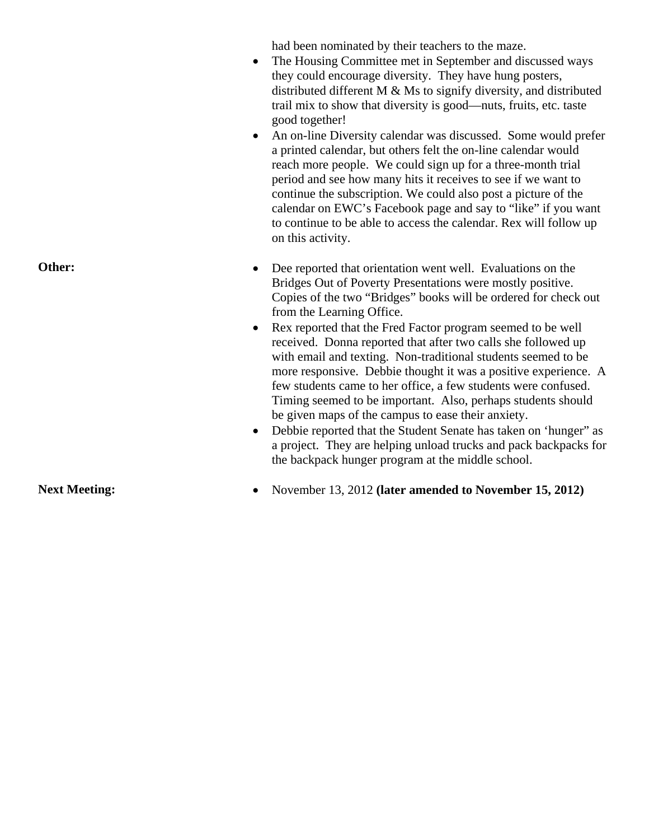had been nominated by their teachers to the maze.

- The Housing Committee met in September and discussed ways they could encourage diversity. They have hung posters, distributed different M & Ms to signify diversity, and distributed trail mix to show that diversity is good—nuts, fruits, etc. taste good together!
- An on-line Diversity calendar was discussed. Some would prefer a printed calendar, but others felt the on-line calendar would reach more people. We could sign up for a three-month trial period and see how many hits it receives to see if we want to continue the subscription. We could also post a picture of the calendar on EWC's Facebook page and say to "like" if you want to continue to be able to access the calendar. Rex will follow up on this activity.

| Bridges Out of Poverty Presentations were mostly positive.<br>Copies of the two "Bridges" books will be ordered for check out<br>from the Learning Office.<br>Rex reported that the Fred Factor program seemed to be well<br>$\bullet$<br>received. Donna reported that after two calls she followed up<br>with email and texting. Non-traditional students seemed to be<br>more responsive. Debbie thought it was a positive experience. A<br>few students came to her office, a few students were confused.<br>Timing seemed to be important. Also, perhaps students should<br>be given maps of the campus to ease their anxiety.<br>Debbie reported that the Student Senate has taken on 'hunger" as<br>$\bullet$<br>a project. They are helping unload trucks and pack backpacks for<br>the backpack hunger program at the middle school. |
|-----------------------------------------------------------------------------------------------------------------------------------------------------------------------------------------------------------------------------------------------------------------------------------------------------------------------------------------------------------------------------------------------------------------------------------------------------------------------------------------------------------------------------------------------------------------------------------------------------------------------------------------------------------------------------------------------------------------------------------------------------------------------------------------------------------------------------------------------|
|-----------------------------------------------------------------------------------------------------------------------------------------------------------------------------------------------------------------------------------------------------------------------------------------------------------------------------------------------------------------------------------------------------------------------------------------------------------------------------------------------------------------------------------------------------------------------------------------------------------------------------------------------------------------------------------------------------------------------------------------------------------------------------------------------------------------------------------------------|

**Next Meeting:** • November 13, 2012 (later amended to November 15, 2012)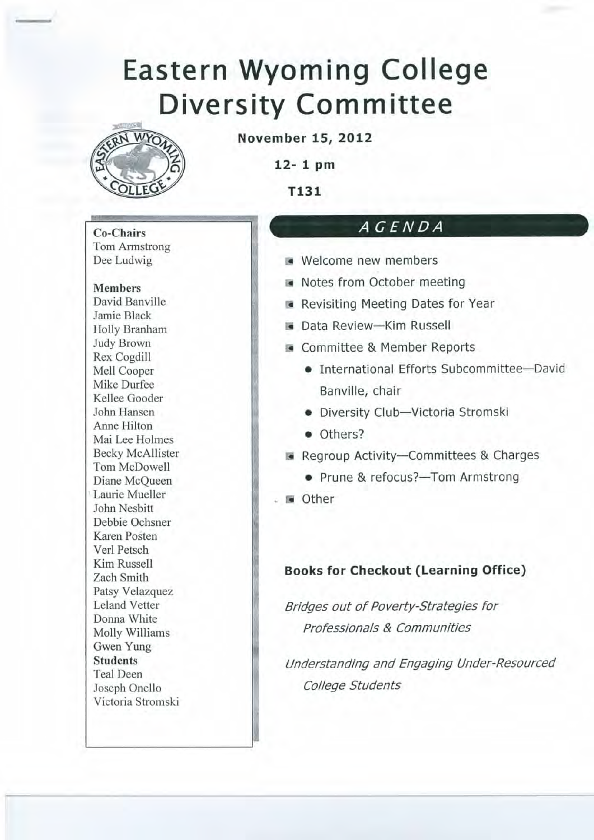

**November 15, 2012** 

 $12 - 1$  pm

T131

### AGENDA

- Welcome new members
	- Notes from October meeting
	- Revisiting Meeting Dates for Year
	- Data Review-Kim Russell
	- Committee & Member Reports
		- International Efforts Subcommittee-David Banville, chair
		- · Diversity Club-Victoria Stromski
		- · Others?
	- Regroup Activity-Committees & Charges
		- Prune & refocus?-Tom Armstrong
	- other

#### **Books for Checkout (Learning Office)**

Bridges out of Poverty-Strategies for Professionals & Communities

Understanding and Engaging Under-Resourced College Students

**Co-Chairs Tom Armstrong** Dee Ludwig

**Members** 

David Banville Jamie Black Holly Branham **Judy Brown** Rex Cogdill Mell Cooper Mike Durfee Kellee Gooder John Hansen Anne Hilton Mai Lee Holmes **Becky McAllister** Tom McDowell Diane McOueen Laurie Mueller John Nesbitt Debbie Ochsner Karen Posten Verl Petsch Kim Russell Zach Smith Patsy Velazquez **Leland Vetter** Donna White Molly Williams Gwen Yung **Students Teal Deen** Joseph Onello Victoria Stromski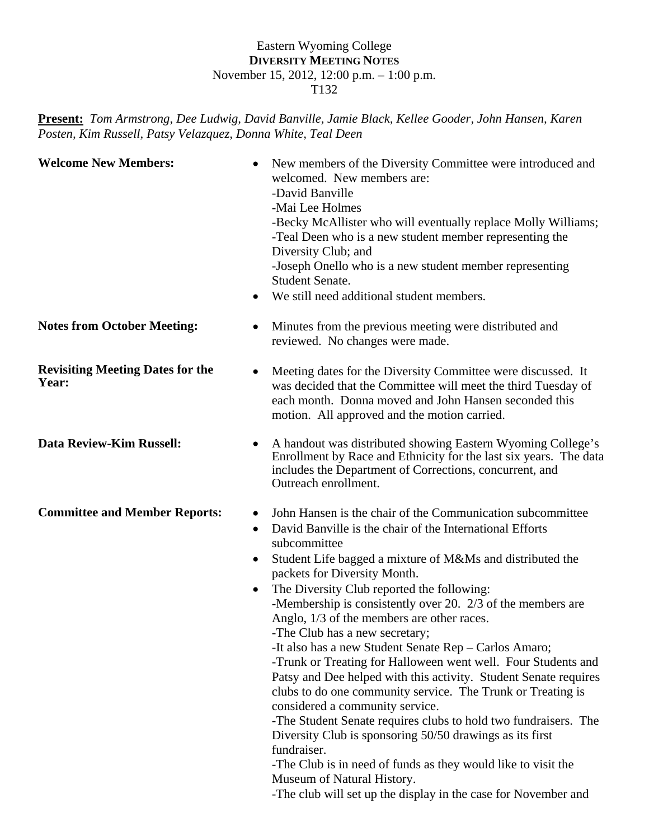#### Eastern Wyoming College **DIVERSITY MEETING NOTES** November 15, 2012, 12:00 p.m. – 1:00 p.m. T132

#### **Present:** *Tom Armstrong*, *Dee Ludwig, David Banville, Jamie Black, Kellee Gooder, John Hansen, Karen Posten, Kim Russell, Patsy Velazquez, Donna White, Teal Deen*

| <b>Welcome New Members:</b>                      | New members of the Diversity Committee were introduced and<br>welcomed. New members are:<br>-David Banville<br>-Mai Lee Holmes<br>-Becky McAllister who will eventually replace Molly Williams;<br>-Teal Deen who is a new student member representing the<br>Diversity Club; and<br>-Joseph Onello who is a new student member representing<br><b>Student Senate.</b><br>We still need additional student members.                                                                                                                                                                                                                                                                                                                                                                                                                                                                                                                                                                                                                                                                                 |
|--------------------------------------------------|-----------------------------------------------------------------------------------------------------------------------------------------------------------------------------------------------------------------------------------------------------------------------------------------------------------------------------------------------------------------------------------------------------------------------------------------------------------------------------------------------------------------------------------------------------------------------------------------------------------------------------------------------------------------------------------------------------------------------------------------------------------------------------------------------------------------------------------------------------------------------------------------------------------------------------------------------------------------------------------------------------------------------------------------------------------------------------------------------------|
| <b>Notes from October Meeting:</b>               | Minutes from the previous meeting were distributed and<br>$\bullet$<br>reviewed. No changes were made.                                                                                                                                                                                                                                                                                                                                                                                                                                                                                                                                                                                                                                                                                                                                                                                                                                                                                                                                                                                              |
| <b>Revisiting Meeting Dates for the</b><br>Year: | Meeting dates for the Diversity Committee were discussed. It<br>$\bullet$<br>was decided that the Committee will meet the third Tuesday of<br>each month. Donna moved and John Hansen seconded this<br>motion. All approved and the motion carried.                                                                                                                                                                                                                                                                                                                                                                                                                                                                                                                                                                                                                                                                                                                                                                                                                                                 |
| <b>Data Review-Kim Russell:</b>                  | A handout was distributed showing Eastern Wyoming College's<br>$\bullet$<br>Enrollment by Race and Ethnicity for the last six years. The data<br>includes the Department of Corrections, concurrent, and<br>Outreach enrollment.                                                                                                                                                                                                                                                                                                                                                                                                                                                                                                                                                                                                                                                                                                                                                                                                                                                                    |
| <b>Committee and Member Reports:</b>             | John Hansen is the chair of the Communication subcommittee<br>$\bullet$<br>David Banville is the chair of the International Efforts<br>$\bullet$<br>subcommittee<br>Student Life bagged a mixture of M&Ms and distributed the<br>$\bullet$<br>packets for Diversity Month.<br>The Diversity Club reported the following:<br>$\bullet$<br>-Membership is consistently over 20. 2/3 of the members are<br>Anglo, 1/3 of the members are other races.<br>-The Club has a new secretary;<br>-It also has a new Student Senate Rep - Carlos Amaro;<br>-Trunk or Treating for Halloween went well. Four Students and<br>Patsy and Dee helped with this activity. Student Senate requires<br>clubs to do one community service. The Trunk or Treating is<br>considered a community service.<br>-The Student Senate requires clubs to hold two fundraisers. The<br>Diversity Club is sponsoring 50/50 drawings as its first<br>fundraiser.<br>-The Club is in need of funds as they would like to visit the<br>Museum of Natural History.<br>-The club will set up the display in the case for November and |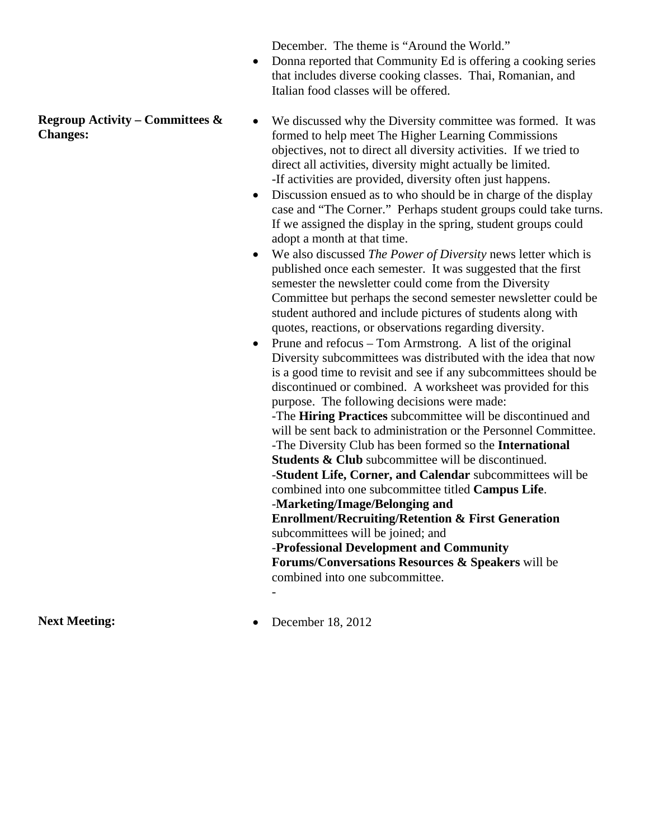December. The theme is "Around the World."

- Donna reported that Community Ed is offering a cooking series that includes diverse cooking classes. Thai, Romanian, and Italian food classes will be offered.
- We discussed why the Diversity committee was formed. It was formed to help meet The Higher Learning Commissions objectives, not to direct all diversity activities. If we tried to direct all activities, diversity might actually be limited. -If activities are provided, diversity often just happens.
- Discussion ensued as to who should be in charge of the display case and "The Corner." Perhaps student groups could take turns. If we assigned the display in the spring, student groups could adopt a month at that time.
- We also discussed *The Power of Diversity* news letter which is published once each semester. It was suggested that the first semester the newsletter could come from the Diversity Committee but perhaps the second semester newsletter could be student authored and include pictures of students along with quotes, reactions, or observations regarding diversity.
- Prune and refocus  $-$  Tom Armstrong. A list of the original Diversity subcommittees was distributed with the idea that now is a good time to revisit and see if any subcommittees should be discontinued or combined. A worksheet was provided for this purpose. The following decisions were made: -The **Hiring Practices** subcommittee will be discontinued and will be sent back to administration or the Personnel Committee. -The Diversity Club has been formed so the **International Students & Club** subcommittee will be discontinued. -**Student Life, Corner, and Calendar** subcommittees will be combined into one subcommittee titled **Campus Life**. -**Marketing/Image/Belonging and Enrollment/Recruiting/Retention & First Generation** subcommittees will be joined; and -**Professional Development and Community Forums/Conversations Resources & Speakers** will be combined into one subcommittee.

Next Meeting: **a** December 18, 2012

-

**Regroup Activity – Committees & Changes:**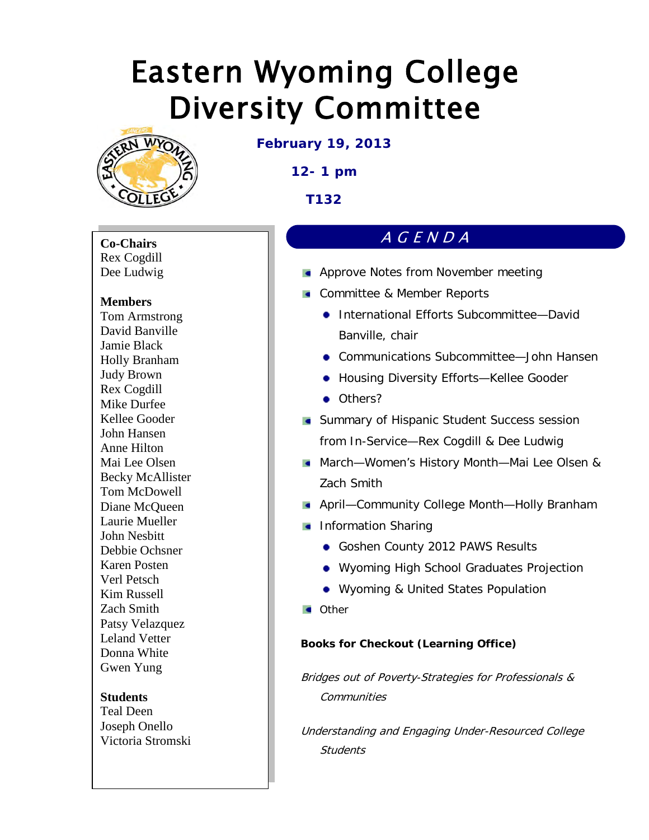

**February 19, 2013**

**12- 1 pm**

**T132** 

**Co-Chairs** Rex Cogdill Dee Ludwig

#### **Members**

Tom Armstrong David Banville Jamie Black Holly Branham Judy Brown Rex Cogdill Mike Durfee Kellee Gooder John Hansen Anne Hilton Mai Lee Olsen Becky McAllister Tom McDowell Diane McQueen Laurie Mueller John Nesbitt Debbie Ochsner Karen Posten Verl Petsch Kim Russell Zach Smith Patsy Velazquez Leland Vetter Donna White Gwen Yung

#### **Students**

Teal Deen Joseph Onello Victoria Stromski

## AGENDA

- **Approve Notes from November meeting**
- **Committee & Member Reports** 
	- International Efforts Subcommittee-David Banville, chair
	- Communications Subcommittee—John Hansen
	- Housing Diversity Efforts—Kellee Gooder
	- Others?
- **Summary of Hispanic Student Success session** from In-Service—Rex Cogdill & Dee Ludwig
- March—Women's History Month—Mai Lee Olsen & Zach Smith
- April—Community College Month—Holly Branham
- **Information Sharing** 
	- Goshen County 2012 PAWS Results
	- Wyoming High School Graduates Projection
	- Wyoming & United States Population
- **Cother**

#### **Books for Checkout (Learning Office)**

Bridges out of Poverty-Strategies for Professionals & **Communities** 

Understanding and Engaging Under-Resourced College **Students**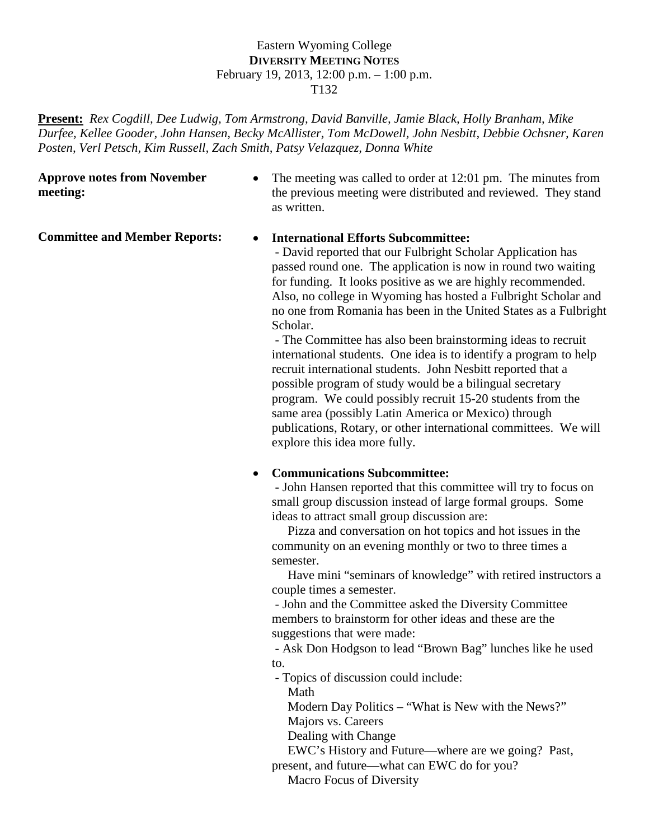#### Eastern Wyoming College **DIVERSITY MEETING NOTES** February 19, 2013, 12:00 p.m. – 1:00 p.m. T132

**Present:** *Rex Cogdill, Dee Ludwig, Tom Armstrong, David Banville, Jamie Black, Holly Branham, Mike Durfee, Kellee Gooder, John Hansen, Becky McAllister, Tom McDowell, John Nesbitt, Debbie Ochsner, Karen Posten, Verl Petsch, Kim Russell, Zach Smith, Patsy Velazquez, Donna White* 

#### **Approve notes from November meeting:**

• The meeting was called to order at 12:01 pm. The minutes from the previous meeting were distributed and reviewed. They stand as written.

#### **Committee and Member Reports:** • **International Efforts Subcommittee:**

 - David reported that our Fulbright Scholar Application has passed round one. The application is now in round two waiting for funding. It looks positive as we are highly recommended. Also, no college in Wyoming has hosted a Fulbright Scholar and no one from Romania has been in the United States as a Fulbright Scholar.

 - The Committee has also been brainstorming ideas to recruit international students. One idea is to identify a program to help recruit international students. John Nesbitt reported that a possible program of study would be a bilingual secretary program. We could possibly recruit 15-20 students from the same area (possibly Latin America or Mexico) through publications, Rotary, or other international committees. We will explore this idea more fully.

#### • **Communications Subcommittee:**

 **-** John Hansen reported that this committee will try to focus on small group discussion instead of large formal groups. Some ideas to attract small group discussion are:

 Pizza and conversation on hot topics and hot issues in the community on an evening monthly or two to three times a semester.

 Have mini "seminars of knowledge" with retired instructors a couple times a semester.

 - John and the Committee asked the Diversity Committee members to brainstorm for other ideas and these are the suggestions that were made:

 - Ask Don Hodgson to lead "Brown Bag" lunches like he used to.

- Topics of discussion could include:

Math

 Modern Day Politics – "What is New with the News?" Majors vs. Careers

Dealing with Change

EWC's History and Future—where are we going? Past,

present, and future—what can EWC do for you?

Macro Focus of Diversity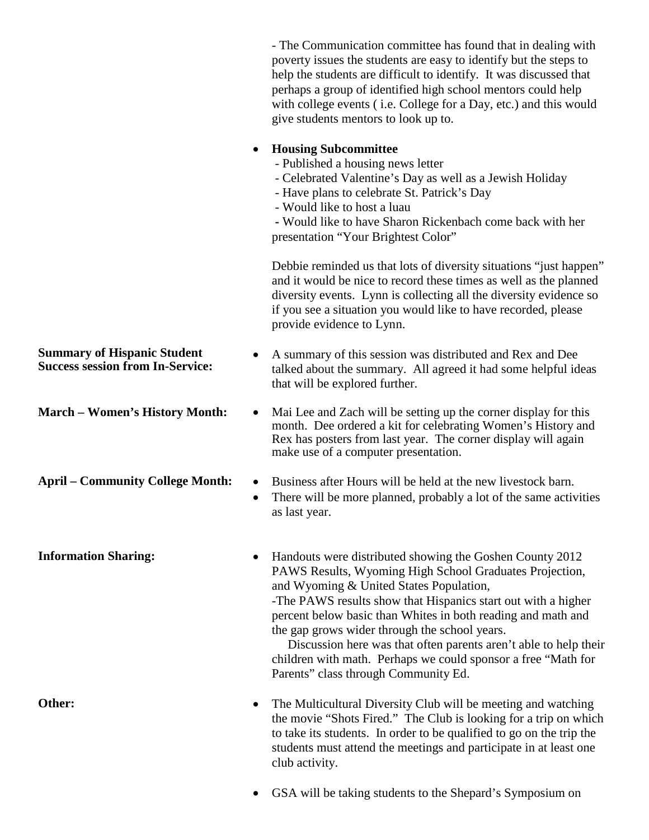- The Communication committee has found that in dealing with poverty issues the students are easy to identify but the steps to help the students are difficult to identify. It was discussed that perhaps a group of identified high school mentors could help with college events ( i.e. College for a Day, etc.) and this would give students mentors to look up to. • **Housing Subcommittee** - Published a housing news letter - Celebrated Valentine's Day as well as a Jewish Holiday - Have plans to celebrate St. Patrick's Day - Would like to host a luau  **-** Would like to have Sharon Rickenbach come back with her presentation "Your Brightest Color" Debbie reminded us that lots of diversity situations "just happen" and it would be nice to record these times as well as the planned diversity events. Lynn is collecting all the diversity evidence so if you see a situation you would like to have recorded, please provide evidence to Lynn. **Summary of Hispanic Student**  • A summary of this session was distributed and Rex and Dee talked about the summary. All agreed it had some helpful ideas that will be explored further. **March – Women's History Month:** • Mai Lee and Zach will be setting up the corner display for this month. Dee ordered a kit for celebrating Women's History and Rex has posters from last year. The corner display will again make use of a computer presentation. **April – Community College Month:** • Business after Hours will be held at the new livestock barn. • There will be more planned, probably a lot of the same activities as last year. **Information Sharing:** • Handouts were distributed showing the Goshen County 2012 PAWS Results, Wyoming High School Graduates Projection, and Wyoming & United States Population, -The PAWS results show that Hispanics start out with a higher percent below basic than Whites in both reading and math and the gap grows wider through the school years. Discussion here was that often parents aren't able to help their children with math. Perhaps we could sponsor a free "Math for Parents" class through Community Ed. **Other:** • The Multicultural Diversity Club will be meeting and watching the movie "Shots Fired." The Club is looking for a trip on which to take its students. In order to be qualified to go on the trip the students must attend the meetings and participate in at least one club activity.

• GSA will be taking students to the Shepard's Symposium on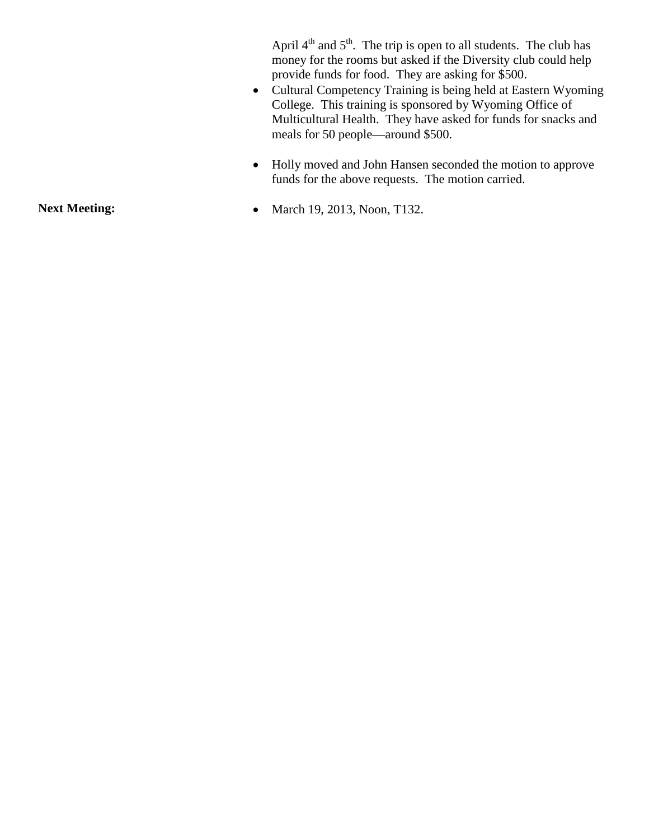April  $4<sup>th</sup>$  and  $5<sup>th</sup>$ . The trip is open to all students. The club has money for the rooms but asked if the Diversity club could help provide funds for food. They are asking for \$500.

- Cultural Competency Training is being held at Eastern Wyoming College. This training is sponsored by Wyoming Office of Multicultural Health. They have asked for funds for snacks and meals for 50 people—around \$500.
- Holly moved and John Hansen seconded the motion to approve funds for the above requests. The motion carried.
- **Next Meeting:** March 19, 2013, Noon, T132.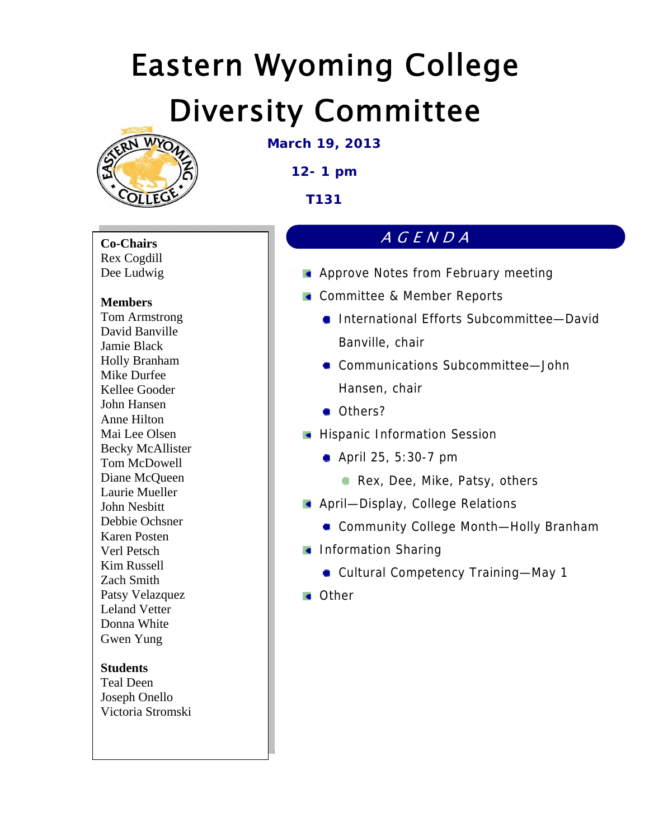

**March 19, 2013** 

**12- 1 pm** 

**T131** 

**Co-Chairs**  Rex Cogdill Dee Ludwig

#### **Members**

Tom Armstrong David Banville Jamie Black Holly Branham Mike Durfee Kellee Gooder John Hansen Anne Hilton Mai Lee Olsen Becky McAllister Tom McDowell Diane McQueen Laurie Mueller John Nesbitt Debbie Ochsner Karen Posten Verl Petsch Kim Russell Zach Smith Patsy Velazquez Leland Vetter Donna White Gwen Yung

#### **Students**

Teal Deen Joseph Onello Victoria Stromski

## AGENDA

- **Approve Notes from February meeting**
- **Committee & Member Reports** 
	- International Efforts Subcommittee—David Banville, chair
	- Communications Subcommittee-John Hansen, chair
	- Others?
- **Hispanic Information Session** 
	- **April 25, 5:30-7 pm** 
		- Rex, Dee, Mike, Patsy, others
- **April-Display, College Relations** 
	- Community College Month—Holly Branham
- **Information Sharing** 
	- Cultural Competency Training—May 1
- **Cother**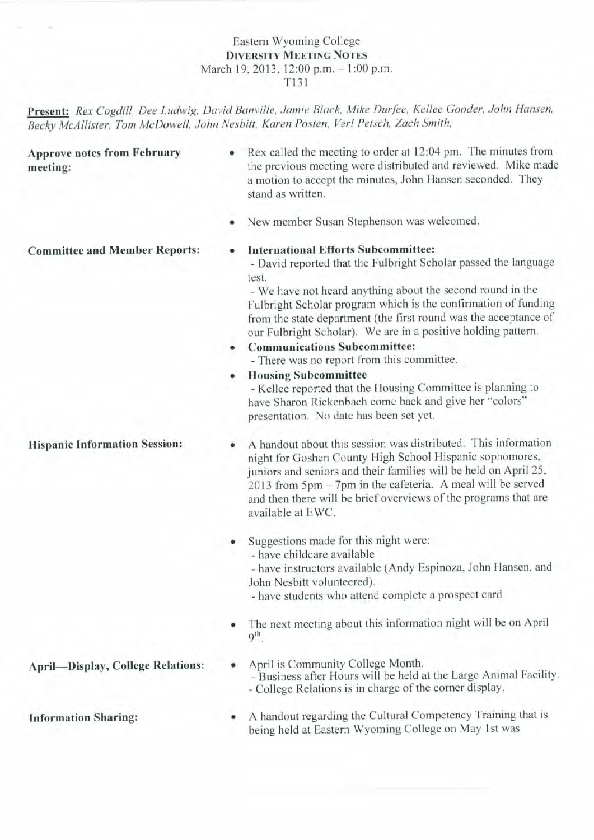#### Eastern Wyoming College **DIVERSITY MEETING NOTES** March 19, 2013, 12:00 p.m. - 1:00 p.m. T131

Present: Rex Cogdill, Dee Ludwig, David Banville, Jamie Black, Mike Durfee, Kellee Gooder, John Hansen, Becky McAllister, Tom McDowell, John Nesbitt, Karen Posten, Verl Petsch, Zach Smith,

**Approve notes from February** meeting:

- Rex called the meeting to order at 12:04 pm. The minutes from the previous meeting were distributed and reviewed. Mike made a motion to accept the minutes, John Hansen seconded. They stand as written.
- New member Susan Stephenson was welcomed.

#### **Committee and Member Reports:**

#### **International Efforts Subcommittee:**

- David reported that the Fulbright Scholar passed the language test.

- We have not heard anything about the second round in the Fulbright Scholar program which is the confirmation of funding from the state department (the first round was the acceptance of our Fulbright Scholar). We are in a positive holding pattern.

• Communications Subcommittee:

- There was no report from this committee.

• Housing Subcommittee

- Kellee reported that the Housing Committee is planning to have Sharon Rickenbach come back and give her "colors" presentation. No date has been set yet.

A handout about this session was distributed. This information night for Goshen County High School Hispanic sophomores, juniors and seniors and their families will be held on April 25,  $2013$  from  $5 \text{pm} - 7 \text{pm}$  in the cafeteria. A meal will be served and then there will be brief overviews of the programs that are available at EWC.

• Suggestions made for this night were: - have childcare available

- have instructors available (Andy Espinoza, John Hansen, and John Nesbitt volunteered).

- have students who attend complete a prospect card

- The next meeting about this information night will be on April  $q^{th}$
- April is Community College Month. - Business after Hours will be held at the Large Animal Facility. - College Relations is in charge of the corner display.
- A handout regarding the Cultural Competency Training that is being held at Eastern Wyoming College on May 1st was

**Hispanic Information Session:** 

**April-Display, College Relations:** 

**Information Sharing:**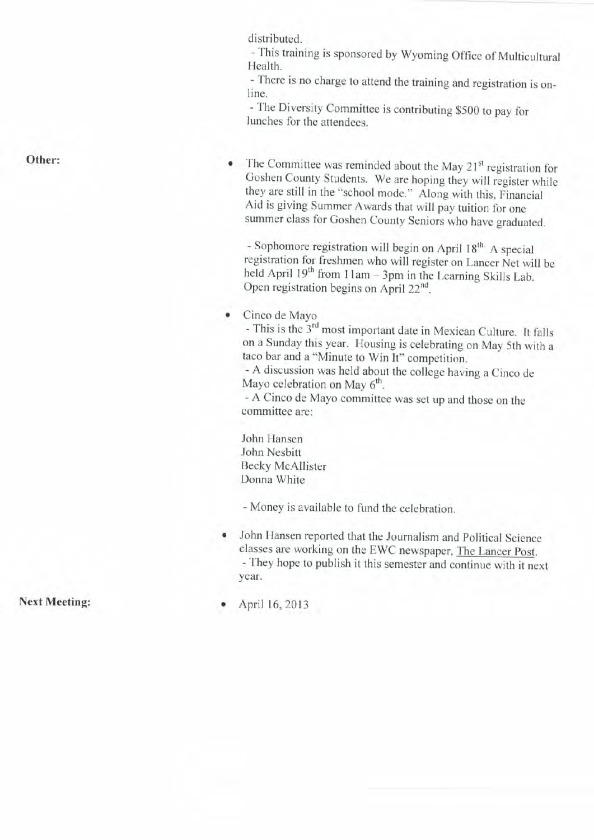distributed.

- This training is sponsored by Wyoming Office of Multicultural Health.

- There is no charge to attend the training and registration is online.

- The Diversity Committee is contributing \$500 to pay for lunches for the attendees.

Other:

The Committee was reminded about the May 21<sup>st</sup> registration for Goshen County Students. We are hoping they will register while they are still in the "school mode." Along with this, Financial Aid is giving Summer Awards that will pay tuition for one summer class for Goshen County Seniors who have graduated.

- Sophomore registration will begin on April 18<sup>th</sup> A special registration for freshmen who will register on Lancer Net will be held April 19<sup>th</sup> from 11am - 3pm in the Learning Skills Lab. Open registration begins on April 22<sup>nd</sup>.

Cinco de Mayo  $\bullet$ 

- This is the 3<sup>rd</sup> most important date in Mexican Culture. It falls on a Sunday this year. Housing is celebrating on May 5th with a taco bar and a "Minute to Win It" competition.

- A discussion was held about the college having a Cinco de Mayo celebration on May 6<sup>th</sup>.

- A Cinco de Mayo committee was set up and those on the committee are:

John Hansen John Nesbitt **Becky McAllister** Donna White

- Money is available to fund the celebration.

John Hansen reported that the Journalism and Political Science classes are working on the EWC newspaper, The Lancer Post. - They hope to publish it this semester and continue with it next year.

**Next Meeting:** 

April 16, 2013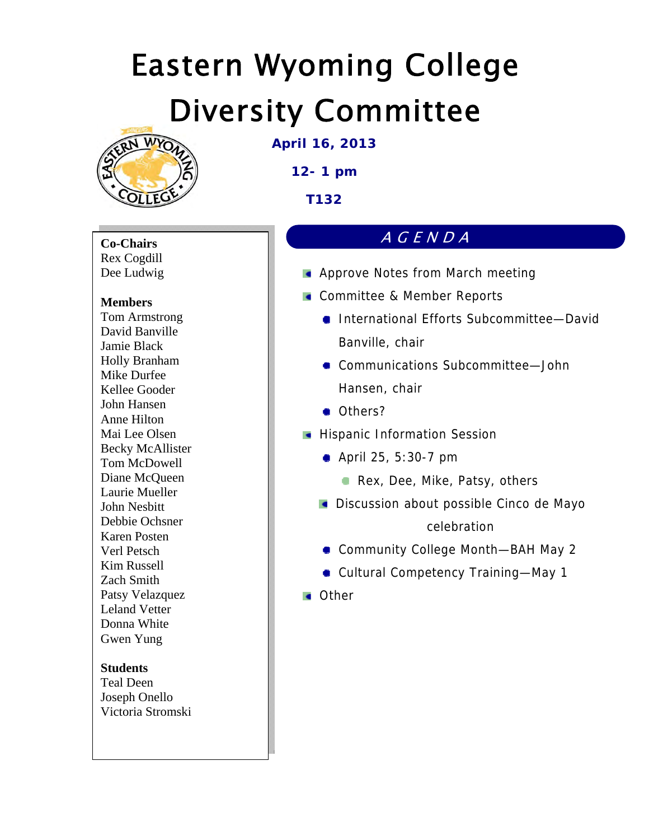

**April 16, 2013** 

**12- 1 pm** 

**T132** 

**Co-Chairs**  Rex Cogdill Dee Ludwig

#### **Members**

Tom Armstrong David Banville Jamie Black Holly Branham Mike Durfee Kellee Gooder John Hansen Anne Hilton Mai Lee Olsen Becky McAllister Tom McDowell Diane McQueen Laurie Mueller John Nesbitt Debbie Ochsner Karen Posten Verl Petsch Kim Russell Zach Smith Patsy Velazquez Leland Vetter Donna White Gwen Yung

#### **Students**

Teal Deen Joseph Onello Victoria Stromski

### AGENDA

- **Approve Notes from March meeting**
- **Committee & Member Reports** 
	- International Efforts Subcommittee—David Banville, chair
	- Communications Subcommittee-John Hansen, chair
	- Others?
- **Hispanic Information Session** 
	- **April 25, 5:30-7 pm** 
		- Rex, Dee, Mike, Patsy, others
	- **Discussion about possible Cinco de Mayo** celebration
	- Community College Month—BAH May 2
	- Cultural Competency Training—May 1
- **Cother**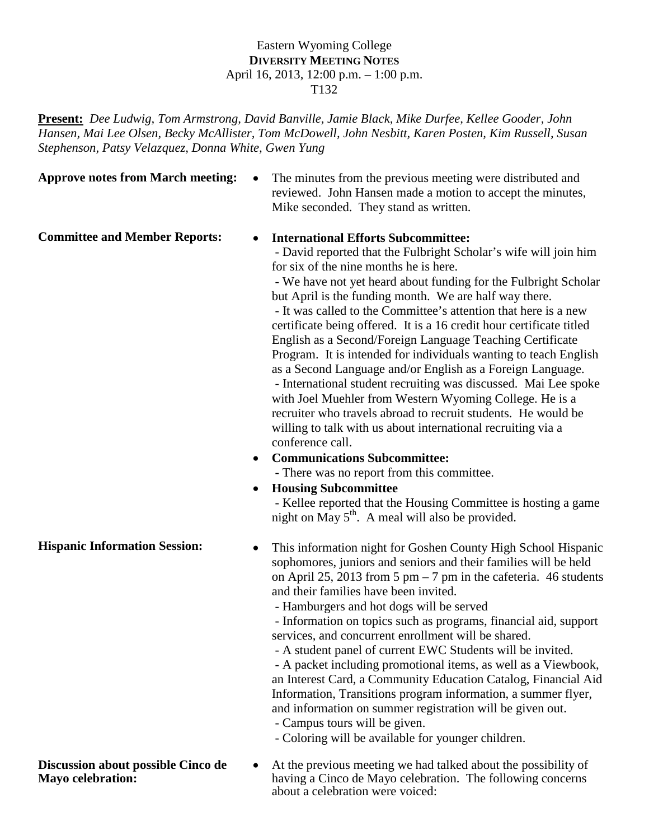#### Eastern Wyoming College **DIVERSITY MEETING NOTES** April 16, 2013, 12:00 p.m. – 1:00 p.m. T132

**Present:** *Dee Ludwig, Tom Armstrong, David Banville, Jamie Black, Mike Durfee, Kellee Gooder, John Hansen, Mai Lee Olsen, Becky McAllister, Tom McDowell, John Nesbitt, Karen Posten, Kim Russell, Susan Stephenson, Patsy Velazquez, Donna White, Gwen Yung* 

**Approve notes from March meeting:** • The minutes from the previous meeting were distributed and reviewed. John Hansen made a motion to accept the minutes, Mike seconded. They stand as written.

#### **Committee and Member Reports:** • **International Efforts Subcommittee:**

 - David reported that the Fulbright Scholar's wife will join him for six of the nine months he is here.

 - We have not yet heard about funding for the Fulbright Scholar but April is the funding month. We are half way there. - It was called to the Committee's attention that here is a new certificate being offered. It is a 16 credit hour certificate titled English as a Second/Foreign Language Teaching Certificate Program. It is intended for individuals wanting to teach English as a Second Language and/or English as a Foreign Language. - International student recruiting was discussed. Mai Lee spoke with Joel Muehler from Western Wyoming College. He is a recruiter who travels abroad to recruit students. He would be willing to talk with us about international recruiting via a conference call.

• **Communications Subcommittee: -** There was no report from this committee.

### • **Housing Subcommittee**

 - Kellee reported that the Housing Committee is hosting a game night on May  $5<sup>th</sup>$ . A meal will also be provided.

**Hispanic Information Session:** • This information night for Goshen County High School Hispanic sophomores, juniors and seniors and their families will be held on April 25, 2013 from 5 pm  $-7$  pm in the cafeteria. 46 students and their families have been invited.

- Hamburgers and hot dogs will be served

 - Information on topics such as programs, financial aid, support services, and concurrent enrollment will be shared.

- A student panel of current EWC Students will be invited.

 - A packet including promotional items, as well as a Viewbook, an Interest Card, a Community Education Catalog, Financial Aid Information, Transitions program information, a summer flyer, and information on summer registration will be given out.

- Campus tours will be given.

- Coloring will be available for younger children.

**Discussion about possible Cinco de Mayo celebration:**

• At the previous meeting we had talked about the possibility of having a Cinco de Mayo celebration. The following concerns about a celebration were voiced: